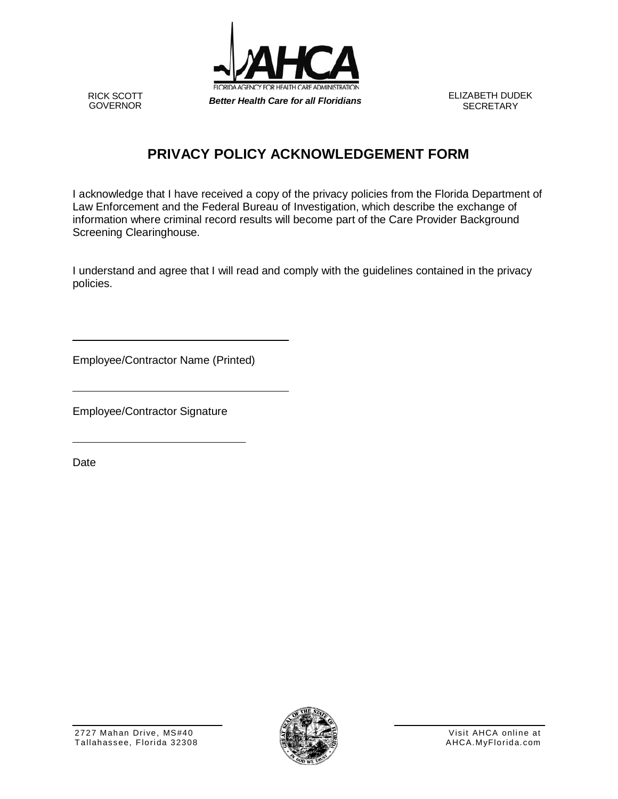

RICK SCOTT<br>GOVERNOR

**SECRETARY** 

## **PRIVACY POLICY ACKNOWLEDGEMENT FORM**

I acknowledge that I have received a copy of the privacy policies from the Florida Department of Law Enforcement and the Federal Bureau of Investigation, which describe the exchange of information where criminal record results will become part of the Care Provider Background Screening Clearinghouse.

I understand and agree that I will read and comply with the guidelines contained in the privacy policies.

Employee/Contractor Name (Printed)

Employee/Contractor Signature

Date

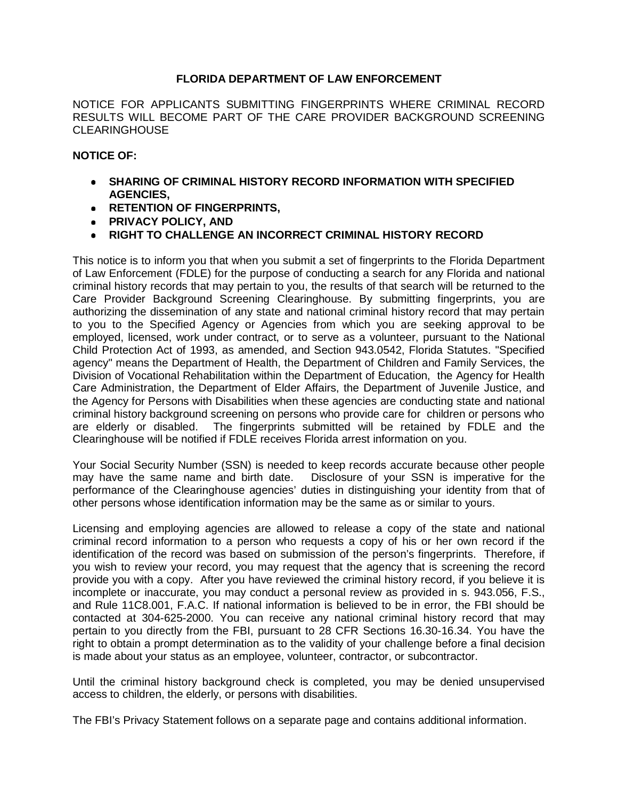## **FLORIDA DEPARTMENT OF LAW ENFORCEMENT**

NOTICE FOR APPLICANTS SUBMITTING FINGERPRINTS WHERE CRIMINAL RECORD RESULTS WILL BECOME PART OF THE CARE PROVIDER BACKGROUND SCREENING CLEARINGHOUSE

## **NOTICE OF:**

- **SHARING OF CRIMINAL HISTORY RECORD INFORMATION WITH SPECIFIED AGENCIES,**
- **RETENTION OF FINGERPRINTS,**
- **PRIVACY POLICY, AND**
- **RIGHT TO CHALLENGE AN INCORRECT CRIMINAL HISTORY RECORD**

This notice is to inform you that when you submit a set of fingerprints to the Florida Department of Law Enforcement (FDLE) for the purpose of conducting a search for any Florida and national criminal history records that may pertain to you, the results of that search will be returned to the Care Provider Background Screening Clearinghouse. By submitting fingerprints, you are authorizing the dissemination of any state and national criminal history record that may pertain to you to the Specified Agency or Agencies from which you are seeking approval to be employed, licensed, work under contract, or to serve as a volunteer, pursuant to the National Child Protection Act of 1993, as amended, and Section 943.0542, Florida Statutes. "Specified agency" means the Department of Health, the Department of Children and Family Services, the Division of Vocational Rehabilitation within the Department of Education, the Agency for Health Care Administration, the Department of Elder Affairs, the Department of Juvenile Justice, and the Agency for Persons with Disabilities when these agencies are conducting state and national criminal history background screening on persons who provide care for children or persons who are elderly or disabled. The fingerprints submitted will be retained by FDLE and the Clearinghouse will be notified if FDLE receives Florida arrest information on you.

Your Social Security Number (SSN) is needed to keep records accurate because other people may have the same name and birth date. Disclosure of your SSN is imperative for the performance of the Clearinghouse agencies' duties in distinguishing your identity from that of other persons whose identification information may be the same as or similar to yours.

Licensing and employing agencies are allowed to release a copy of the state and national criminal record information to a person who requests a copy of his or her own record if the identification of the record was based on submission of the person's fingerprints. Therefore, if you wish to review your record, you may request that the agency that is screening the record provide you with a copy. After you have reviewed the criminal history record, if you believe it is incomplete or inaccurate, you may conduct a personal review as provided in s. 943.056, F.S., and Rule 11C8.001, F.A.C. If national information is believed to be in error, the FBI should be contacted at 304-625-2000. You can receive any national criminal history record that may pertain to you directly from the FBI, pursuant to 28 CFR Sections 16.30-16.34. You have the right to obtain a prompt determination as to the validity of your challenge before a final decision is made about your status as an employee, volunteer, contractor, or subcontractor.

Until the criminal history background check is completed, you may be denied unsupervised access to children, the elderly, or persons with disabilities.

The FBI's Privacy Statement follows on a separate page and contains additional information.